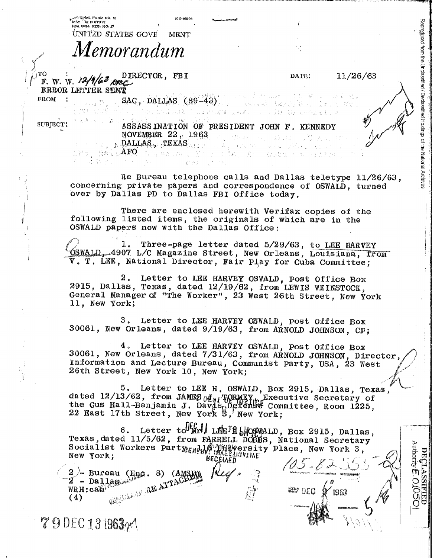|                                                                                                                                                                                                           | 5010-106-03            |                                                                                                                     |                                                                                                                                                                                                                                                                                                         |                                                         |                                                                       |
|-----------------------------------------------------------------------------------------------------------------------------------------------------------------------------------------------------------|------------------------|---------------------------------------------------------------------------------------------------------------------|---------------------------------------------------------------------------------------------------------------------------------------------------------------------------------------------------------------------------------------------------------------------------------------------------------|---------------------------------------------------------|-----------------------------------------------------------------------|
| MAY 162 EDITION<br>8A GEN. REG. NO. 27<br>UNITED STATES GOVE MENT                                                                                                                                         |                        |                                                                                                                     |                                                                                                                                                                                                                                                                                                         |                                                         |                                                                       |
| Memorandum                                                                                                                                                                                                |                        |                                                                                                                     |                                                                                                                                                                                                                                                                                                         |                                                         |                                                                       |
|                                                                                                                                                                                                           |                        |                                                                                                                     |                                                                                                                                                                                                                                                                                                         |                                                         |                                                                       |
| TО<br>F. W. W. $\frac{12}{4}$ $\frac{D \text{ 1} \text{ 1}}{2}$ $\frac{D \text{ 1} \text{ 1}}{2}$ $\frac{D \text{ 2}}{2}$<br>ERROR LETTER SENT                                                            |                        |                                                                                                                     | DATE:                                                                                                                                                                                                                                                                                                   | 11/26/63                                                |                                                                       |
| <b>FROM</b><br><b>Canada</b> Bi                                                                                                                                                                           | $SAC$ , DALLAS (89-43) | 计不同发酵 "是解黑云外,一只是绿,是殿间从外之金属。"此                                                                                       | $\label{eq:2.1} \mathcal{L}^{(1)}(\mathbf{Y}) = \mathcal{L}^{(2)}_{\mathbf{Y}} \mathcal{L}^{(M)}(\mathbf{X}) \mathcal{L}^{(M)}(\mathbf{Y}) = \mathcal{L}^{(1)}_{\mathbf{Y}} \mathcal{L}^{(1)}_{\mathbf{Y}} = \mathcal{L}^{(M)}_{\mathbf{Y}} \mathcal{L}^{(M)}_{\mathbf{Y}}$<br>《被服编辑》选辑者说:"报真。"萧燕:"现下摆爱 |                                                         |                                                                       |
| SUBJECT:                                                                                                                                                                                                  |                        | ASSASSINATION OF PRESIDENT JOHN F. KENNEDY<br>NOVEMBER 22 <sub>12</sub> 1963 - Alexandro 1963 and 1962 - March 1970 |                                                                                                                                                                                                                                                                                                         |                                                         |                                                                       |
| de la população <b>de la propincia de</b> la propincia de la propincia de la propincia de la propincia de la propincia<br>. Máis <b>AFO</b> Thermody Till Time Xo. Ostra Charles Cra                      | (全部) 第二章 经外汇率用金        |                                                                                                                     |                                                                                                                                                                                                                                                                                                         |                                                         | from the Unclassified / Declassified Holdings of the National Archive |
| concerning private papers and correspondence of OSWALD, turned<br>over by Dallas PD to Dallas FBI Office today.                                                                                           |                        |                                                                                                                     |                                                                                                                                                                                                                                                                                                         | Re Bureau telephone calls and Dallas teletype 11/26/63, |                                                                       |
| following listed items, the originals of which are in the<br>OSWALD papers now with the Dallas Office:                                                                                                    |                        | There are enclosed herewith Verifax copies of the                                                                   |                                                                                                                                                                                                                                                                                                         |                                                         |                                                                       |
| OSWALD, 4907 L/C Magazine Street, New Orleans, Louisiana, from<br>V. T. LEE, National Director, Fair Play for Cuba Committee;                                                                             |                        | 1. Three-page letter dated 5/29/63, to LEE HARVEY                                                                   |                                                                                                                                                                                                                                                                                                         |                                                         |                                                                       |
| 2915, Dallas, Texas, dated 12/19/62, from LEWIS WEINSTOCK,<br>General Manager of "The Worker", 23 West 26th Street, New York<br>11, New York;                                                             |                        | 2. Letter to LEE HARVEY OSWALD, post Office Box                                                                     |                                                                                                                                                                                                                                                                                                         |                                                         |                                                                       |
| 3 <sub>1</sub><br>30061, New Orleans, dated 9/19/63, from ARNOLD JOHNSON, CP;                                                                                                                             |                        | Letter to LEE HARVEY OSWALD, post Office Box                                                                        |                                                                                                                                                                                                                                                                                                         |                                                         |                                                                       |
| 30061, New Orleans, dated 7/31/63, from ARNOLD JOHNSON, Director<br>Information and Lecture Bureau, Communist Party, USA, 23 West<br>26th Street, New York 10, New York;                                  |                        | 4. Letter to LEE HARVEY OSWALD, Post Office Box                                                                     |                                                                                                                                                                                                                                                                                                         |                                                         |                                                                       |
| dated 12/13/62, from JAMES $0 \mathbf{I}_{b1}$ FORMEY <sub>I</sub> . Executive Secretary of<br>the Gus Hall-Benjamin J. Davis Defense Committee, Room 1225,<br>22 East 17th Street, New York S, New York; |                        | 5. Letter to LEE H. OSWALD, Box 2915, Dallas, Texas,                                                                |                                                                                                                                                                                                                                                                                                         |                                                         |                                                                       |
| Texas, dated 11/5/62, from FARRELL DOBBS, National Secretary<br>Socialist Workers Party <sub>EHeb</sub> le Willie Elucativ Place, New York 3,                                                             |                        | 6. Letter to Firl LEE THEOSMALD, Box 2915, Dallas,<br><b>BECEIAED</b>                                               |                                                                                                                                                                                                                                                                                                         |                                                         | <b>Authority</b><br>$\mathbf C$<br><b>FROLA!</b>                      |
| $\begin{array}{ll} & \text{average} \ \text{2 - ballagical} \ \text{WRH:caB} \ \text{(A)} \end{array}$<br>G (AMSHIRE)                                                                                     |                        |                                                                                                                     | <b>REF DEC</b>                                                                                                                                                                                                                                                                                          | 1963                                                    | $\mathcal{S}$<br>O<br>$\overline{\mathbb{C}}$                         |
| (4)                                                                                                                                                                                                       |                        |                                                                                                                     |                                                                                                                                                                                                                                                                                                         |                                                         | ER                                                                    |
| 79 DEC 13 1963/V                                                                                                                                                                                          |                        |                                                                                                                     |                                                                                                                                                                                                                                                                                                         |                                                         |                                                                       |

л

 $\hat{\mathcal{A}}$